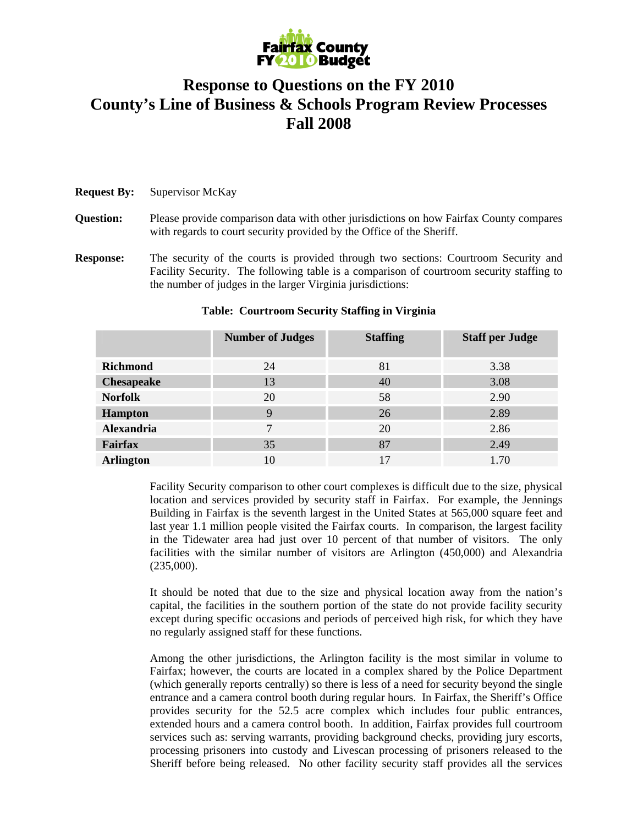

## **Response to Questions on the FY 2010 County's Line of Business & Schools Program Review Processes Fall 2008**

## **Request By:** Supervisor McKay

**Question:** Please provide comparison data with other jurisdictions on how Fairfax County compares with regards to court security provided by the Office of the Sheriff.

**Response:** The security of the courts is provided through two sections: Courtroom Security and Facility Security. The following table is a comparison of courtroom security staffing to the number of judges in the larger Virginia jurisdictions:

|                   | <b>Number of Judges</b> | <b>Staffing</b> | <b>Staff per Judge</b> |
|-------------------|-------------------------|-----------------|------------------------|
| <b>Richmond</b>   | 24                      | 81              | 3.38                   |
| <b>Chesapeake</b> | 13                      | 40              | 3.08                   |
| <b>Norfolk</b>    | 20                      | 58              | 2.90                   |
| <b>Hampton</b>    | 9                       | 26              | 2.89                   |
| <b>Alexandria</b> | 7                       | 20              | 2.86                   |
| <b>Fairfax</b>    | 35                      | 87              | 2.49                   |
| <b>Arlington</b>  | 10                      |                 | 1.70                   |

## **Table: Courtroom Security Staffing in Virginia**

Facility Security comparison to other court complexes is difficult due to the size, physical location and services provided by security staff in Fairfax. For example, the Jennings Building in Fairfax is the seventh largest in the United States at 565,000 square feet and last year 1.1 million people visited the Fairfax courts. In comparison, the largest facility in the Tidewater area had just over 10 percent of that number of visitors. The only facilities with the similar number of visitors are Arlington (450,000) and Alexandria (235,000).

It should be noted that due to the size and physical location away from the nation's capital, the facilities in the southern portion of the state do not provide facility security except during specific occasions and periods of perceived high risk, for which they have no regularly assigned staff for these functions.

Among the other jurisdictions, the Arlington facility is the most similar in volume to Fairfax; however, the courts are located in a complex shared by the Police Department (which generally reports centrally) so there is less of a need for security beyond the single entrance and a camera control booth during regular hours. In Fairfax, the Sheriff's Office provides security for the 52.5 acre complex which includes four public entrances, extended hours and a camera control booth. In addition, Fairfax provides full courtroom services such as: serving warrants, providing background checks, providing jury escorts, processing prisoners into custody and Livescan processing of prisoners released to the Sheriff before being released. No other facility security staff provides all the services